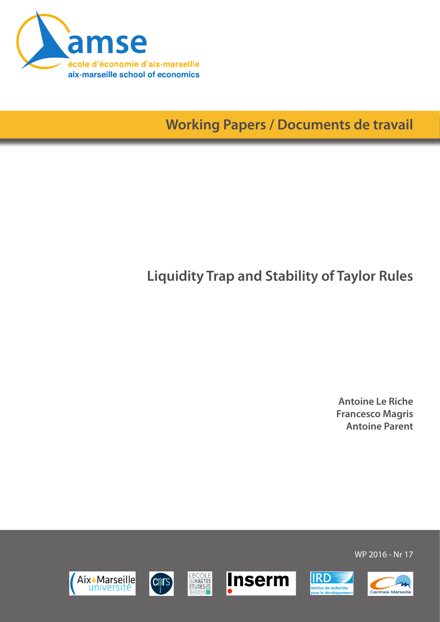

**Working Papers / Documents de travail**

# **Liquidity Trap and Stability of Taylor Rules**

**Antoine Le Riche Francesco Magris Antoine Parent**

WP 2016 - Nr 17







**L'ECOLE**<br>SENAUTES<br>ETUDES





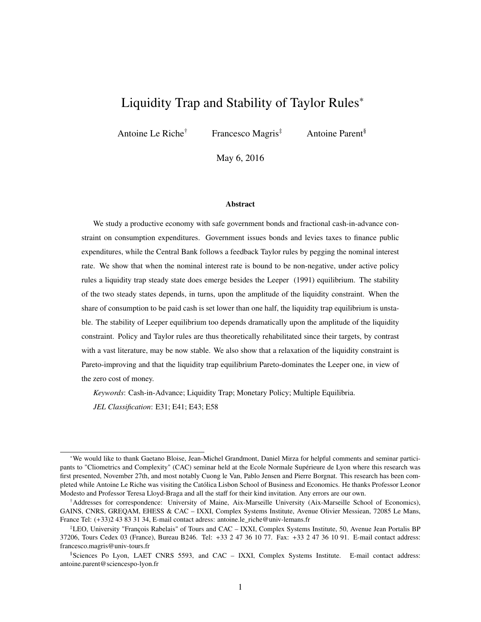## Liquidity Trap and Stability of Taylor Rules<sup>∗</sup>

Antoine Le Riche<sup>†</sup> Francesco Magris<sup>‡</sup> Antoine Parent<sup>§</sup>

May 6, 2016

#### Abstract

We study a productive economy with safe government bonds and fractional cash-in-advance constraint on consumption expenditures. Government issues bonds and levies taxes to finance public expenditures, while the Central Bank follows a feedback Taylor rules by pegging the nominal interest rate. We show that when the nominal interest rate is bound to be non-negative, under active policy rules a liquidity trap steady state does emerge besides the Leeper (1991) equilibrium. The stability of the two steady states depends, in turns, upon the amplitude of the liquidity constraint. When the share of consumption to be paid cash is set lower than one half, the liquidity trap equilibrium is unstable. The stability of Leeper equilibrium too depends dramatically upon the amplitude of the liquidity constraint. Policy and Taylor rules are thus theoretically rehabilitated since their targets, by contrast with a vast literature, may be now stable. We also show that a relaxation of the liquidity constraint is Pareto-improving and that the liquidity trap equilibrium Pareto-dominates the Leeper one, in view of the zero cost of money.

*Keywords*: Cash-in-Advance; Liquidity Trap; Monetary Policy; Multiple Equilibria.

*JEL Classification*: E31; E41; E43; E58

<sup>∗</sup>We would like to thank Gaetano Bloise, Jean-Michel Grandmont, Daniel Mirza for helpful comments and seminar participants to "Cliometrics and Complexity" (CAC) seminar held at the Ecole Normale Supérieure de Lyon where this research was first presented, November 27th, and most notably Cuong le Van, Pablo Jensen and Pierre Borgnat. This research has been completed while Antoine Le Riche was visiting the Católica Lisbon School of Business and Economics. He thanks Professor Leonor Modesto and Professor Teresa Lloyd-Braga and all the staff for their kind invitation. Any errors are our own.

<sup>†</sup>Addresses for correspondence: University of Maine, Aix-Marseille University (Aix-Marseille School of Economics), GAINS, CNRS, GREQAM, EHESS & CAC – IXXI, Complex Systems Institute, Avenue Olivier Messiean, 72085 Le Mans, France Tel: (+33)2 43 83 31 34, E-mail contact adress: antoine.le\_riche@univ-lemans.fr

<sup>‡</sup>LEO, University "François Rabelais" of Tours and CAC – IXXI, Complex Systems Institute, 50, Avenue Jean Portalis BP 37206, Tours Cedex 03 (France), Bureau B246. Tel: +33 2 47 36 10 77. Fax: +33 2 47 36 10 91. E-mail contact address: francesco.magris@univ-tours.fr

<sup>§</sup>Sciences Po Lyon, LAET CNRS 5593, and CAC – IXXI, Complex Systems Institute. E-mail contact address: antoine.parent@sciencespo-lyon.fr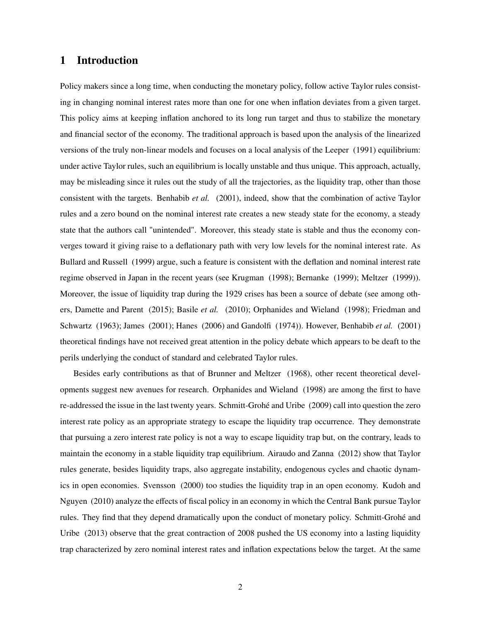### 1 Introduction

Policy makers since a long time, when conducting the monetary policy, follow active Taylor rules consisting in changing nominal interest rates more than one for one when inflation deviates from a given target. This policy aims at keeping inflation anchored to its long run target and thus to stabilize the monetary and financial sector of the economy. The traditional approach is based upon the analysis of the linearized versions of the truly non-linear models and focuses on a local analysis of the Leeper (1991) equilibrium: under active Taylor rules, such an equilibrium is locally unstable and thus unique. This approach, actually, may be misleading since it rules out the study of all the trajectories, as the liquidity trap, other than those consistent with the targets. Benhabib *et al.* (2001), indeed, show that the combination of active Taylor rules and a zero bound on the nominal interest rate creates a new steady state for the economy, a steady state that the authors call "unintended". Moreover, this steady state is stable and thus the economy converges toward it giving raise to a deflationary path with very low levels for the nominal interest rate. As Bullard and Russell (1999) argue, such a feature is consistent with the deflation and nominal interest rate regime observed in Japan in the recent years (see Krugman (1998); Bernanke (1999); Meltzer (1999)). Moreover, the issue of liquidity trap during the 1929 crises has been a source of debate (see among others, Damette and Parent (2015); Basile *et al.* (2010); Orphanides and Wieland (1998); Friedman and Schwartz (1963); James (2001); Hanes (2006) and Gandolfi (1974)). However, Benhabib *et al.* (2001) theoretical findings have not received great attention in the policy debate which appears to be deaft to the perils underlying the conduct of standard and celebrated Taylor rules.

Besides early contributions as that of Brunner and Meltzer (1968), other recent theoretical developments suggest new avenues for research. Orphanides and Wieland (1998) are among the first to have re-addressed the issue in the last twenty years. Schmitt-Grohé and Uribe (2009) call into question the zero interest rate policy as an appropriate strategy to escape the liquidity trap occurrence. They demonstrate that pursuing a zero interest rate policy is not a way to escape liquidity trap but, on the contrary, leads to maintain the economy in a stable liquidity trap equilibrium. Airaudo and Zanna (2012) show that Taylor rules generate, besides liquidity traps, also aggregate instability, endogenous cycles and chaotic dynamics in open economies. Svensson (2000) too studies the liquidity trap in an open economy. Kudoh and Nguyen (2010) analyze the effects of fiscal policy in an economy in which the Central Bank pursue Taylor rules. They find that they depend dramatically upon the conduct of monetary policy. Schmitt-Grohé and Uribe (2013) observe that the great contraction of 2008 pushed the US economy into a lasting liquidity trap characterized by zero nominal interest rates and inflation expectations below the target. At the same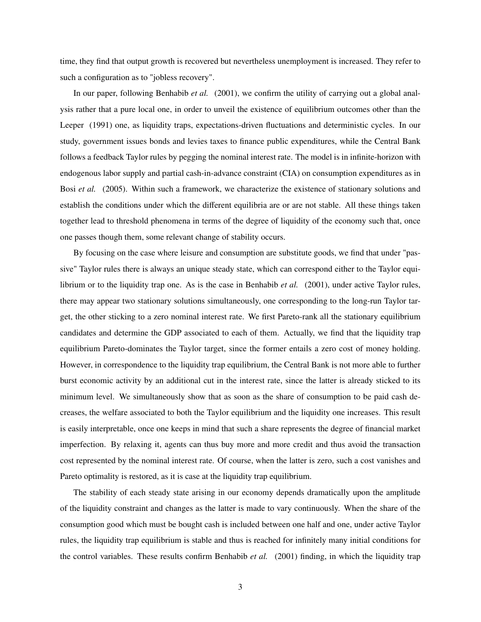time, they find that output growth is recovered but nevertheless unemployment is increased. They refer to such a configuration as to "jobless recovery".

In our paper, following Benhabib *et al.* (2001), we confirm the utility of carrying out a global analysis rather that a pure local one, in order to unveil the existence of equilibrium outcomes other than the Leeper (1991) one, as liquidity traps, expectations-driven fluctuations and deterministic cycles. In our study, government issues bonds and levies taxes to finance public expenditures, while the Central Bank follows a feedback Taylor rules by pegging the nominal interest rate. The model is in infinite-horizon with endogenous labor supply and partial cash-in-advance constraint (CIA) on consumption expenditures as in Bosi *et al.* (2005). Within such a framework, we characterize the existence of stationary solutions and establish the conditions under which the different equilibria are or are not stable. All these things taken together lead to threshold phenomena in terms of the degree of liquidity of the economy such that, once one passes though them, some relevant change of stability occurs.

By focusing on the case where leisure and consumption are substitute goods, we find that under "passive" Taylor rules there is always an unique steady state, which can correspond either to the Taylor equilibrium or to the liquidity trap one. As is the case in Benhabib *et al.* (2001), under active Taylor rules, there may appear two stationary solutions simultaneously, one corresponding to the long-run Taylor target, the other sticking to a zero nominal interest rate. We first Pareto-rank all the stationary equilibrium candidates and determine the GDP associated to each of them. Actually, we find that the liquidity trap equilibrium Pareto-dominates the Taylor target, since the former entails a zero cost of money holding. However, in correspondence to the liquidity trap equilibrium, the Central Bank is not more able to further burst economic activity by an additional cut in the interest rate, since the latter is already sticked to its minimum level. We simultaneously show that as soon as the share of consumption to be paid cash decreases, the welfare associated to both the Taylor equilibrium and the liquidity one increases. This result is easily interpretable, once one keeps in mind that such a share represents the degree of financial market imperfection. By relaxing it, agents can thus buy more and more credit and thus avoid the transaction cost represented by the nominal interest rate. Of course, when the latter is zero, such a cost vanishes and Pareto optimality is restored, as it is case at the liquidity trap equilibrium.

The stability of each steady state arising in our economy depends dramatically upon the amplitude of the liquidity constraint and changes as the latter is made to vary continuously. When the share of the consumption good which must be bought cash is included between one half and one, under active Taylor rules, the liquidity trap equilibrium is stable and thus is reached for infinitely many initial conditions for the control variables. These results confirm Benhabib *et al.* (2001) finding, in which the liquidity trap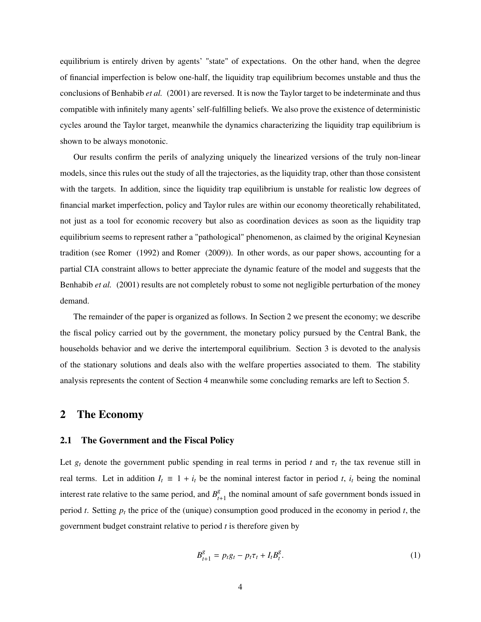equilibrium is entirely driven by agents' "state" of expectations. On the other hand, when the degree of financial imperfection is below one-half, the liquidity trap equilibrium becomes unstable and thus the conclusions of Benhabib *et al.* (2001) are reversed. It is now the Taylor target to be indeterminate and thus compatible with infinitely many agents' self-fulfilling beliefs. We also prove the existence of deterministic cycles around the Taylor target, meanwhile the dynamics characterizing the liquidity trap equilibrium is shown to be always monotonic.

Our results confirm the perils of analyzing uniquely the linearized versions of the truly non-linear models, since this rules out the study of all the trajectories, as the liquidity trap, other than those consistent with the targets. In addition, since the liquidity trap equilibrium is unstable for realistic low degrees of financial market imperfection, policy and Taylor rules are within our economy theoretically rehabilitated, not just as a tool for economic recovery but also as coordination devices as soon as the liquidity trap equilibrium seems to represent rather a "pathological" phenomenon, as claimed by the original Keynesian tradition (see Romer (1992) and Romer (2009)). In other words, as our paper shows, accounting for a partial CIA constraint allows to better appreciate the dynamic feature of the model and suggests that the Benhabib *et al.* (2001) results are not completely robust to some not negligible perturbation of the money demand.

The remainder of the paper is organized as follows. In Section 2 we present the economy; we describe the fiscal policy carried out by the government, the monetary policy pursued by the Central Bank, the households behavior and we derive the intertemporal equilibrium. Section 3 is devoted to the analysis of the stationary solutions and deals also with the welfare properties associated to them. The stability analysis represents the content of Section 4 meanwhile some concluding remarks are left to Section 5.

### 2 The Economy

### 2.1 The Government and the Fiscal Policy

Let  $g_t$  denote the government public spending in real terms in period *t* and  $\tau_t$  the tax revenue still in real terms. Let in addition  $I_t \equiv 1 + i_t$  be the nominal interest factor in period *t*,  $i_t$  being the nominal interest rate relative to the same period, and  $B_t^g$ .  $t_{t+1}$  the nominal amount of safe government bonds issued in period *t*. Setting  $p_t$  the price of the (unique) consumption good produced in the economy in period *t*, the government budget constraint relative to period *t* is therefore given by

$$
B_{t+1}^g = p_t g_t - p_t \tau_t + I_t B_t^g. \tag{1}
$$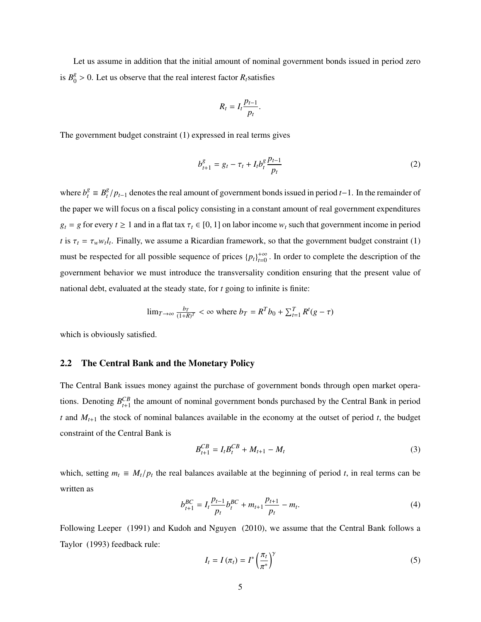Let us assume in addition that the initial amount of nominal government bonds issued in period zero is  $B_0^g$  $\frac{8}{0}$  > 0. Let us observe that the real interest factor *R*<sub>*t*</sub> satisfies

$$
R_t = I_t \frac{p_{t-1}}{p_t}
$$

The government budget constraint (1) expressed in real terms gives

$$
b_{t+1}^g = g_t - \tau_t + I_t b_t^g \frac{p_{t-1}}{p_t}
$$
 (2)

where  $b_t^g \equiv B_t^g$ *t*<sup>*g*</sup> / *p*<sup>*t*</sup>−1</sub> denotes the real amount of government bonds issued in period *t*−1. In the remainder of the paper we will focus on a fiscal policy consisting in a constant amount of real government expenditures  $g_t = g$  for every  $t \ge 1$  and in a flat tax  $\tau_t \in [0, 1]$  on labor income  $w_t$  such that government income in period *t* is  $\tau_t = \tau_w w_t l_t$ . Finally, we assume a Ricardian framework, so that the government budget constraint (1) must be respected for all possible sequence of prices  $\{p_t\}_{t=0}^{+\infty}$ . In order to complete the description of the government behavior we must introduce the transversality condition ensuring that the present value of national debt, evaluated at the steady state, for *t* going to infinite is finite:

$$
\lim_{T \to \infty} \frac{b_T}{(1+R)^T} < \infty \text{ where } b_T = R^T b_0 + \sum_{t=1}^T R^t (g - \tau)
$$

which is obviously satisfied.

### 2.2 The Central Bank and the Monetary Policy

The Central Bank issues money against the purchase of government bonds through open market operations. Denoting  $B_{t+1}^{CB}$  the amount of nominal government bonds purchased by the Central Bank in period *t* and *Mt*+<sup>1</sup> the stock of nominal balances available in the economy at the outset of period *t*, the budget constraint of the Central Bank is

$$
B_{t+1}^{CB} = I_t B_t^{CB} + M_{t+1} - M_t
$$
\n(3)

which, setting  $m_t \equiv M_t/p_t$  the real balances available at the beginning of period *t*, in real terms can be written as

$$
b_{t+1}^{BC} = I_t \frac{p_{t-1}}{p_t} b_t^{BC} + m_{t+1} \frac{p_{t+1}}{p_t} - m_t.
$$
 (4)

Following Leeper (1991) and Kudoh and Nguyen (2010), we assume that the Central Bank follows a Taylor (1993) feedback rule:

$$
I_t = I(\pi_t) = I^* \left(\frac{\pi_t}{\pi^*}\right)^{\gamma}
$$
\n<sup>(5)</sup>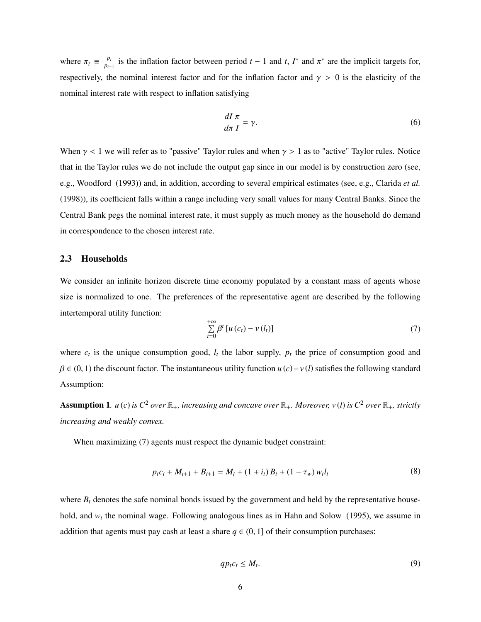where  $\pi_t \equiv \frac{p_t}{p_{t-1}}$  $\frac{p_t}{p_{t-1}}$  is the inflation factor between period *t* − 1 and *t*, *I*<sup>\*</sup> and  $\pi$ <sup>\*</sup> are the implicit targets for, respectively, the nominal interest factor and for the inflation factor and  $\gamma > 0$  is the elasticity of the nominal interest rate with respect to inflation satisfying

$$
\frac{dI}{d\pi}\frac{\pi}{I} = \gamma.
$$
\n(6)

When  $\gamma$  < 1 we will refer as to "passive" Taylor rules and when  $\gamma$  > 1 as to "active" Taylor rules. Notice that in the Taylor rules we do not include the output gap since in our model is by construction zero (see, e.g., Woodford (1993)) and, in addition, according to several empirical estimates (see, e.g., Clarida *et al.* (1998)), its coefficient falls within a range including very small values for many Central Banks. Since the Central Bank pegs the nominal interest rate, it must supply as much money as the household do demand in correspondence to the chosen interest rate.

### 2.3 Households

We consider an infinite horizon discrete time economy populated by a constant mass of agents whose size is normalized to one. The preferences of the representative agent are described by the following intertemporal utility function:

$$
\sum_{t=0}^{+\infty} \beta^t \left[ u\left( c_t \right) - v\left( l_t \right) \right] \tag{7}
$$

where  $c_t$  is the unique consumption good,  $l_t$  the labor supply,  $p_t$  the price of consumption good and  $\beta \in (0, 1)$  the discount factor. The instantaneous utility function  $u(c) - v(l)$  satisfies the following standard Assumption:

Assumption 1.  $u(c)$  *is*  $C^2$  *over*  $\mathbb{R}_+$ *, increasing and concave over*  $\mathbb{R}_+$ *. Moreover, v(l) is*  $C^2$  *over*  $\mathbb{R}_+$ *, strictly increasing and weakly convex.*

When maximizing (7) agents must respect the dynamic budget constraint:

$$
p_t c_t + M_{t+1} + B_{t+1} = M_t + (1 + i_t) B_t + (1 - \tau_w) w_t l_t
$$
\n(8)

where  $B_t$  denotes the safe nominal bonds issued by the government and held by the representative household, and  $w_t$  the nominal wage. Following analogous lines as in Hahn and Solow (1995), we assume in addition that agents must pay cash at least a share  $q \in (0, 1]$  of their consumption purchases:

$$
qp_t c_t \le M_t. \tag{9}
$$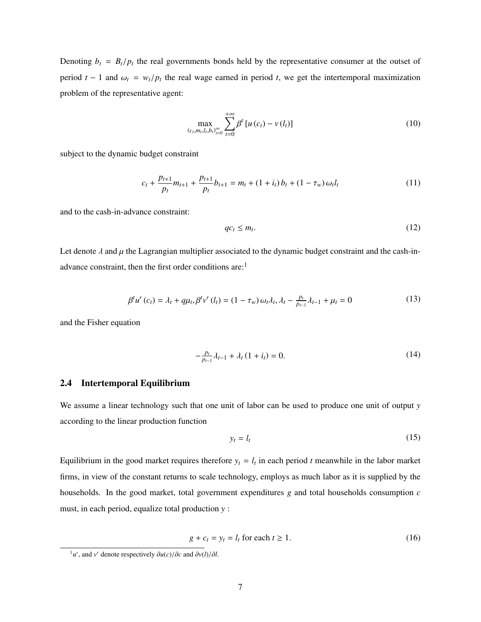Denoting  $b_t = B_t/p_t$  the real governments bonds held by the representative consumer at the outset of period *t* − 1 and  $\omega_t = w_t/p_t$  the real wage earned in period *t*, we get the intertemporal maximization problem of the representative agent:

$$
\max_{\left(c_{t},m_{t},l_{t},b_{t}\right)_{t=0}^{\infty}}\sum_{t=0}^{+\infty}\beta^{t}\left[u\left(c_{t}\right)-v\left(l_{t}\right)\right]
$$
\n(10)

subject to the dynamic budget constraint

$$
c_{t} + \frac{p_{t+1}}{p_{t}} m_{t+1} + \frac{p_{t+1}}{p_{t}} b_{t+1} = m_{t} + (1 + i_{t}) b_{t} + (1 - \tau_{w}) \omega_{t} l_{t}
$$
\n
$$
(11)
$$

and to the cash-in-advance constraint:

$$
qc_t \le m_t. \tag{12}
$$

Let denote  $\lambda$  and  $\mu$  the Lagrangian multiplier associated to the dynamic budget constraint and the cash-inadvance constraint, then the first order conditions are:<sup>1</sup>

$$
\beta^{t} u'(c_{t}) = \lambda_{t} + q\mu_{t}, \beta^{t} v'(l_{t}) = (1 - \tau_{w}) \omega_{t} \lambda_{t}, \lambda_{t} - \frac{p_{t}}{p_{t-1}} \lambda_{t-1} + \mu_{t} = 0
$$
\n(13)

and the Fisher equation

$$
-\frac{p_t}{p_{t-1}}\lambda_{t-1} + \lambda_t (1 + i_t) = 0.
$$
 (14)

#### 2.4 Intertemporal Equilibrium

We assume a linear technology such that one unit of labor can be used to produce one unit of output *y* according to the linear production function

$$
y_t = l_t \tag{15}
$$

Equilibrium in the good market requires therefore  $y_t = l_t$  in each period *t* meanwhile in the labor market firms, in view of the constant returns to scale technology, employs as much labor as it is supplied by the households. In the good market, total government expenditures *g* and total households consumption *c* must, in each period, equalize total production *y* :

$$
g + c_t = y_t = l_t \text{ for each } t \ge 1.
$$
 (16)

 $\partial u'(c)$  and  $\partial v'(l)/\partial l$ .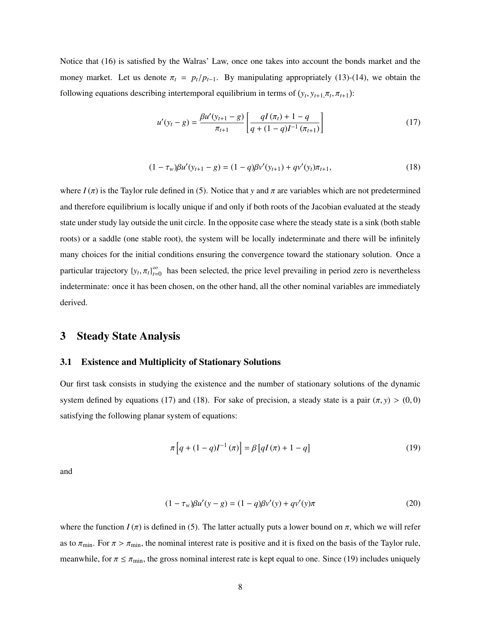Notice that (16) is satisfied by the Walras' Law, once one takes into account the bonds market and the money market. Let us denote  $\pi_t = p_t/p_{t-1}$ . By manipulating appropriately (13)-(14), we obtain the following equations describing intertemporal equilibrium in terms of  $(y_t, y_{t+1}, \pi_t, \pi_{t+1})$ :

$$
u'(y_t - g) = \frac{\beta u'(y_{t+1} - g)}{\pi_{t+1}} \left[ \frac{qI(\pi_t) + 1 - q}{q + (1 - q)I^{-1}(\pi_{t+1})} \right]
$$
(17)

$$
(1 - \tau_w)\beta u'(y_{t+1} - g) = (1 - q)\beta v'(y_{t+1}) + qv'(y_t)\pi_{t+1},
$$
\n(18)

where  $I(\pi)$  is the Taylor rule defined in (5). Notice that *y* and  $\pi$  are variables which are not predetermined and therefore equilibrium is locally unique if and only if both roots of the Jacobian evaluated at the steady state under study lay outside the unit circle. In the opposite case where the steady state is a sink (both stable roots) or a saddle (one stable root), the system will be locally indeterminate and there will be infinitely many choices for the initial conditions ensuring the convergence toward the stationary solution. Once a particular trajectory  $\{y_t, \pi_t\}_{t=0}^{\infty}$  $\sum_{t=0}^{\infty}$  has been selected, the price level prevailing in period zero is nevertheless indeterminate: once it has been chosen, on the other hand, all the other nominal variables are immediately derived.

### 3 Steady State Analysis

### 3.1 Existence and Multiplicity of Stationary Solutions

Our first task consists in studying the existence and the number of stationary solutions of the dynamic system defined by equations (17) and (18). For sake of precision, a steady state is a pair  $(\pi, y) > (0, 0)$ satisfying the following planar system of equations:

$$
\pi\left[q + (1 - q)I^{-1}(\pi)\right] = \beta\left[qI(\pi) + 1 - q\right]
$$
\n(19)

and

$$
(1 - \tau_w)\beta u'(y - g) = (1 - q)\beta v'(y) + qv'(y)\pi
$$
\n(20)

where the function  $I(\pi)$  is defined in (5). The latter actually puts a lower bound on  $\pi$ , which we will refer as to  $\pi_{\min}$ . For  $\pi > \pi_{\min}$ , the nominal interest rate is positive and it is fixed on the basis of the Taylor rule, meanwhile, for  $\pi \leq \pi_{\min}$ , the gross nominal interest rate is kept equal to one. Since (19) includes uniquely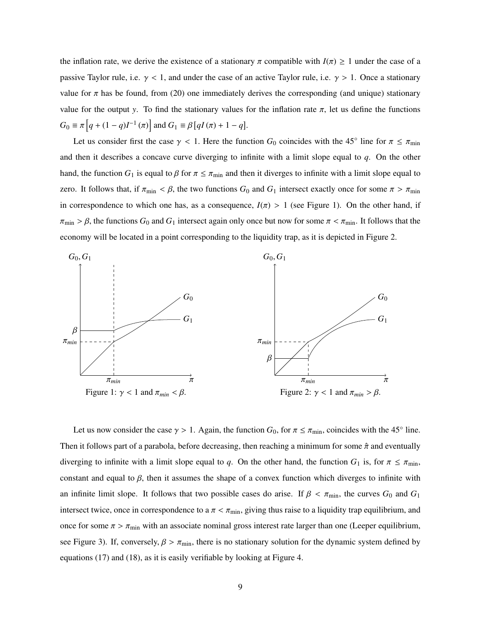the inflation rate, we derive the existence of a stationary  $\pi$  compatible with  $I(\pi) \geq 1$  under the case of a passive Taylor rule, i.e.  $\gamma$  < 1, and under the case of an active Taylor rule, i.e.  $\gamma$  > 1. Once a stationary value for  $\pi$  has be found, from (20) one immediately derives the corresponding (and unique) stationary value for the output *y*. To find the stationary values for the inflation rate  $\pi$ , let us define the functions  $G_0 \equiv \pi \left[ q + (1 - q)I^{-1}(\pi) \right]$  and  $G_1 \equiv \beta \left[ qI(\pi) + 1 - q \right]$ .

Let us consider first the case  $\gamma$  < 1. Here the function *G*<sub>0</sub> coincides with the 45<sup>°</sup> line for  $\pi \le \pi_{\min}$ and then it describes a concave curve diverging to infinite with a limit slope equal to *q*. On the other hand, the function  $G_1$  is equal to  $\beta$  for  $\pi \leq \pi_{\min}$  and then it diverges to infinite with a limit slope equal to zero. It follows that, if  $\pi_{\min} < \beta$ , the two functions  $G_0$  and  $G_1$  intersect exactly once for some  $\pi > \pi_{\min}$ in correspondence to which one has, as a consequence,  $I(\pi) > 1$  (see Figure 1). On the other hand, if  $\pi_{\min} > \beta$ , the functions  $G_0$  and  $G_1$  intersect again only once but now for some  $\pi < \pi_{\min}$ . It follows that the economy will be located in a point corresponding to the liquidity trap, as it is depicted in Figure 2.



Let us now consider the case  $\gamma > 1$ . Again, the function *G*<sub>0</sub>, for  $\pi \le \pi_{\min}$ , coincides with the 45<sup>°</sup> line. Then it follows part of a parabola, before decreasing, then reaching a minimum for some  $\hat{\pi}$  and eventually diverging to infinite with a limit slope equal to *q*. On the other hand, the function  $G_1$  is, for  $\pi \le \pi_{\min}$ , constant and equal to  $\beta$ , then it assumes the shape of a convex function which diverges to infinite with an infinite limit slope. It follows that two possible cases do arise. If  $\beta < \pi_{\min}$ , the curves  $G_0$  and  $G_1$ intersect twice, once in correspondence to a  $\pi < \pi_{\min}$ , giving thus raise to a liquidity trap equilibrium, and once for some  $\pi > \pi_{\min}$  with an associate nominal gross interest rate larger than one (Leeper equilibrium, see Figure 3). If, conversely,  $\beta > \pi_{\min}$ , there is no stationary solution for the dynamic system defined by equations (17) and (18), as it is easily verifiable by looking at Figure 4.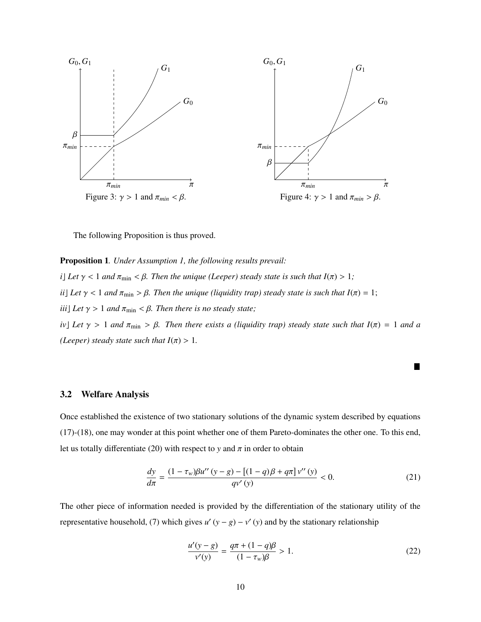

The following Proposition is thus proved.

Proposition 1*. Under Assumption 1, the following results prevail: i*] Let  $\gamma$  < 1 and  $\pi_{\min}$  <  $\beta$ . Then the unique (Leeper) steady state is such that  $I(\pi) > 1$ ; *ii*] Let  $\gamma$  < 1 and  $\pi_{\min}$  >  $\beta$ . Then the unique (liquidity trap) steady state is such that  $I(\pi) = 1$ ; *iii*] *Let*  $\gamma > 1$  *and*  $\pi_{\min} < \beta$ *. Then there is no steady state; iv*] Let  $\gamma > 1$  and  $\pi_{\min} > \beta$ . Then there exists a (liquidity trap) steady state such that  $I(\pi) = 1$  and a *(Leeper) steady state such that*  $I(\pi) > 1$ *.* 

### 3.2 Welfare Analysis

Once established the existence of two stationary solutions of the dynamic system described by equations (17)-(18), one may wonder at this point whether one of them Pareto-dominates the other one. To this end, let us totally differentiate (20) with respect to *y* and  $\pi$  in order to obtain

$$
\frac{dy}{d\pi} = \frac{(1 - \tau_w)\beta u''(y - g) - [(1 - q)\beta + q\pi]v''(y)}{qv'(y)} < 0.
$$
\n(21)

The other piece of information needed is provided by the differentiation of the stationary utility of the representative household, (7) which gives  $u'(y - g) - v'(y)$  and by the stationary relationship

$$
\frac{u'(y-g)}{v'(y)} = \frac{q\pi + (1-q)\beta}{(1-\tau_w)\beta} > 1.
$$
 (22)

П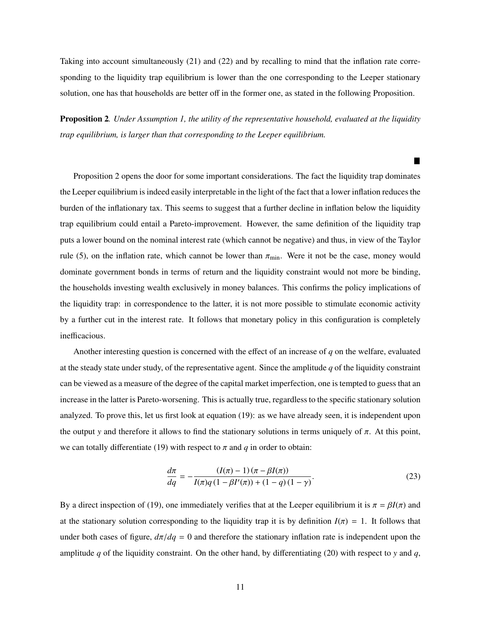Taking into account simultaneously (21) and (22) and by recalling to mind that the inflation rate corresponding to the liquidity trap equilibrium is lower than the one corresponding to the Leeper stationary solution, one has that households are better off in the former one, as stated in the following Proposition.

Proposition 2*. Under Assumption 1, the utility of the representative household, evaluated at the liquidity trap equilibrium, is larger than that corresponding to the Leeper equilibrium.*

ш

Proposition 2 opens the door for some important considerations. The fact the liquidity trap dominates the Leeper equilibrium is indeed easily interpretable in the light of the fact that a lower inflation reduces the burden of the inflationary tax. This seems to suggest that a further decline in inflation below the liquidity trap equilibrium could entail a Pareto-improvement. However, the same definition of the liquidity trap puts a lower bound on the nominal interest rate (which cannot be negative) and thus, in view of the Taylor rule (5), on the inflation rate, which cannot be lower than  $\pi_{\min}$ . Were it not be the case, money would dominate government bonds in terms of return and the liquidity constraint would not more be binding, the households investing wealth exclusively in money balances. This confirms the policy implications of the liquidity trap: in correspondence to the latter, it is not more possible to stimulate economic activity by a further cut in the interest rate. It follows that monetary policy in this configuration is completely inefficacious.

Another interesting question is concerned with the effect of an increase of *q* on the welfare, evaluated at the steady state under study, of the representative agent. Since the amplitude *q* of the liquidity constraint can be viewed as a measure of the degree of the capital market imperfection, one is tempted to guess that an increase in the latter is Pareto-worsening. This is actually true, regardless to the specific stationary solution analyzed. To prove this, let us first look at equation (19): as we have already seen, it is independent upon the output *y* and therefore it allows to find the stationary solutions in terms uniquely of  $\pi$ . At this point, we can totally differentiate (19) with respect to  $\pi$  and  $q$  in order to obtain:

$$
\frac{d\pi}{dq} = -\frac{(I(\pi) - 1)(\pi - \beta I(\pi))}{I(\pi)q(1 - \beta I'(\pi)) + (1 - q)(1 - \gamma)}.
$$
\n(23)

By a direct inspection of (19), one immediately verifies that at the Leeper equilibrium it is  $\pi = \beta I(\pi)$  and at the stationary solution corresponding to the liquidity trap it is by definition  $I(\pi) = 1$ . It follows that under both cases of figure,  $d\pi/dq = 0$  and therefore the stationary inflation rate is independent upon the amplitude *q* of the liquidity constraint. On the other hand, by differentiating (20) with respect to *y* and *q*,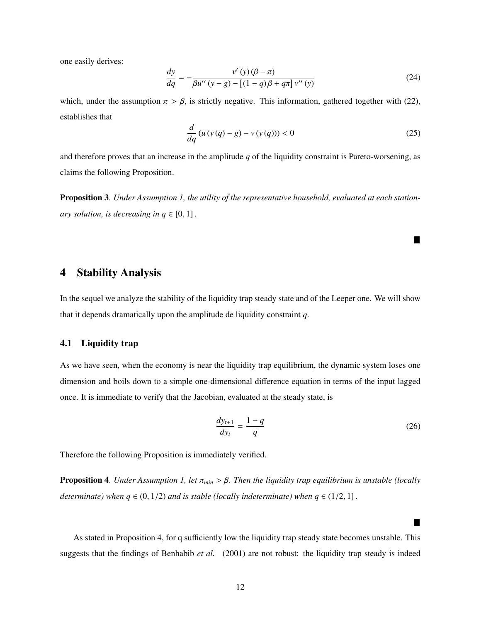one easily derives:

$$
\frac{dy}{dq} = -\frac{v'(y)(\beta - \pi)}{\beta u''(y - g) - \left[ (1 - q)\beta + q\pi \right] v''(y)}\tag{24}
$$

which, under the assumption  $\pi > \beta$ , is strictly negative. This information, gathered together with (22), establishes that

$$
\frac{d}{dq}\left(u\left(\mathbf{y}\left(q\right)-g\right)-v\left(\mathbf{y}\left(q\right)\right)\right)<0\tag{25}
$$

Ш

ш

and therefore proves that an increase in the amplitude *q* of the liquidity constraint is Pareto-worsening, as claims the following Proposition.

Proposition 3*. Under Assumption 1, the utility of the representative household, evaluated at each stationary solution, is decreasing in*  $q \in [0, 1]$ *.* 

### 4 Stability Analysis

In the sequel we analyze the stability of the liquidity trap steady state and of the Leeper one. We will show that it depends dramatically upon the amplitude de liquidity constraint *q*.

### 4.1 Liquidity trap

As we have seen, when the economy is near the liquidity trap equilibrium, the dynamic system loses one dimension and boils down to a simple one-dimensional difference equation in terms of the input lagged once. It is immediate to verify that the Jacobian, evaluated at the steady state, is

$$
\frac{dy_{t+1}}{dy_t} = \frac{1-q}{q} \tag{26}
$$

Therefore the following Proposition is immediately verified.

Proposition 4*. Under Assumption 1, let* <sup>π</sup>*min* > β*. Then the liquidity trap equilibrium is unstable (locally determinate)* when  $q \in (0, 1/2)$  *and is stable (locally indeterminate)* when  $q \in (1/2, 1]$ .

As stated in Proposition 4, for q sufficiently low the liquidity trap steady state becomes unstable. This suggests that the findings of Benhabib *et al.* (2001) are not robust: the liquidity trap steady is indeed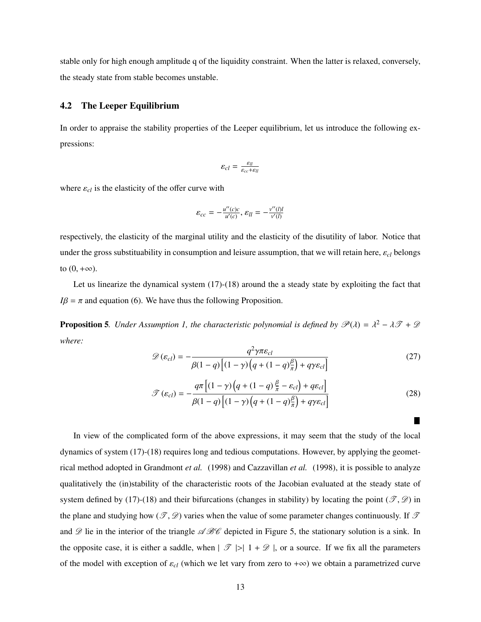stable only for high enough amplitude q of the liquidity constraint. When the latter is relaxed, conversely, the steady state from stable becomes unstable.

### 4.2 The Leeper Equilibrium

In order to appraise the stability properties of the Leeper equilibrium, let us introduce the following expressions:

$$
\varepsilon_{cl} = \frac{\varepsilon_{ll}}{\varepsilon_{cc} + \varepsilon_{ll}}
$$

where  $\varepsilon_{cl}$  is the elasticity of the offer curve with

$$
\varepsilon_{cc} = -\frac{u''(c)c}{u'(c)}, \, \varepsilon_{ll} = -\frac{v''(l)l}{v'(l)}
$$

respectively, the elasticity of the marginal utility and the elasticity of the disutility of labor. Notice that under the gross substituability in consumption and leisure assumption, that we will retain here,  $\varepsilon_{cl}$  belongs to  $(0, +\infty)$ .

Let us linearize the dynamical system (17)-(18) around the a steady state by exploiting the fact that  $I\beta = \pi$  and equation (6). We have thus the following Proposition.

**Proposition 5**. Under Assumption 1, the characteristic polynomial is defined by  $\mathcal{P}(\lambda) = \lambda^2 - \lambda \mathcal{T} + \mathcal{D}$ *where:*

$$
\mathcal{D}(\varepsilon_{cl}) = -\frac{q^2 \gamma \pi \varepsilon_{cl}}{\beta(1-q)\left[ (1-\gamma)\left( q + (1-q)\frac{\beta}{\pi} \right) + q\gamma \varepsilon_{cl} \right]}
$$
(27)

$$
\mathcal{F}(\varepsilon_{cl}) = -\frac{q\pi \left[ (1 - \gamma) \left( q + (1 - q) \frac{\beta}{\pi} - \varepsilon_{cl} \right) + q \varepsilon_{cl} \right]}{\beta (1 - q) \left[ (1 - \gamma) \left( q + (1 - q) \frac{\beta}{\pi} \right) + q \gamma \varepsilon_{cl} \right]}
$$
(28)

ш

In view of the complicated form of the above expressions, it may seem that the study of the local dynamics of system (17)-(18) requires long and tedious computations. However, by applying the geometrical method adopted in Grandmont *et al.* (1998) and Cazzavillan *et al.* (1998), it is possible to analyze qualitatively the (in)stability of the characteristic roots of the Jacobian evaluated at the steady state of system defined by (17)-(18) and their bifurcations (changes in stability) by locating the point ( $\mathcal{T}, \mathcal{D}$ ) in the plane and studying how  $(\mathcal{T}, \mathcal{D})$  varies when the value of some parameter changes continuously. If  $\mathcal T$ and  $\mathscr D$  lie in the interior of the triangle  $\mathscr A\mathscr B\mathscr C$  depicted in Figure 5, the stationary solution is a sink. In the opposite case, it is either a saddle, when  $|\mathcal{T}| > |1 + \mathcal{D}|$ , or a source. If we fix all the parameters of the model with exception of <sup>ε</sup>*cl* (which we let vary from zero to <sup>+</sup>∞) we obtain a parametrized curve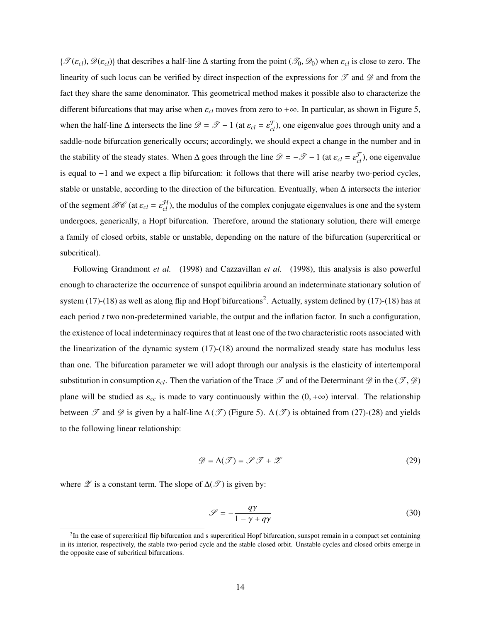${\{\mathcal{T}(\varepsilon_{cl}), \mathcal{D}(\varepsilon_{cl})\}}$  that describes a half-line  $\Delta$  starting from the point  $(\mathcal{T}_0, \mathcal{D}_0)$  when  $\varepsilon_{cl}$  is close to zero. The linearity of such locus can be verified by direct inspection of the expressions for  $\mathscr T$  and  $\mathscr D$  and from the fact they share the same denominator. This geometrical method makes it possible also to characterize the different bifurcations that may arise when  $\varepsilon_{cl}$  moves from zero to + $\infty$ . In particular, as shown in Figure 5, when the half-line  $\Delta$  intersects the line  $\mathcal{D} = \mathcal{T} - 1$  (at  $\varepsilon_{cl} = \varepsilon_{cl}^{\mathcal{T}}$ ), one eigenvalue goes through unity and a saddle-node bifurcation generically occurs; accordingly, we should expect a change in the number and in the stability of the steady states. When  $\Delta$  goes through the line  $\mathscr{D} = -\mathscr{T} - 1$  (at  $\varepsilon_{cl} = \varepsilon_{cl}^{\mathscr{F}}$ ), one eigenvalue is equal to −1 and we expect a flip bifurcation: it follows that there will arise nearby two-period cycles, stable or unstable, according to the direction of the bifurcation. Eventually, when ∆ intersects the interior of the segment  $\mathcal{BC}$  (at  $\varepsilon_{cl} = \varepsilon_{cl}^H$ ), the modulus of the complex conjugate eigenvalues is one and the system undergoes, generically, a Hopf bifurcation. Therefore, around the stationary solution, there will emerge a family of closed orbits, stable or unstable, depending on the nature of the bifurcation (supercritical or subcritical).

Following Grandmont *et al.* (1998) and Cazzavillan *et al.* (1998), this analysis is also powerful enough to characterize the occurrence of sunspot equilibria around an indeterminate stationary solution of system (17)-(18) as well as along flip and Hopf bifurcations<sup>2</sup>. Actually, system defined by (17)-(18) has at each period *t* two non-predetermined variable, the output and the inflation factor. In such a configuration, the existence of local indeterminacy requires that at least one of the two characteristic roots associated with the linearization of the dynamic system (17)-(18) around the normalized steady state has modulus less than one. The bifurcation parameter we will adopt through our analysis is the elasticity of intertemporal substitution in consumption  $\varepsilon_{cl}$ . Then the variation of the Trace  $\mathscr T$  and of the Determinant  $\mathscr D$  in the  $(\mathscr T, \mathscr D)$ plane will be studied as  $\varepsilon_{cc}$  is made to vary continuously within the  $(0, +\infty)$  interval. The relationship between  $\mathscr T$  and  $\mathscr D$  is given by a half-line  $\Delta(\mathscr T)$  (Figure 5).  $\Delta(\mathscr T)$  is obtained from (27)-(28) and yields to the following linear relationship:

$$
\mathcal{D} = \Delta(\mathcal{F}) = \mathcal{F}\mathcal{F} + \mathcal{Z}
$$
\n(29)

where  $\mathscr Z$  is a constant term. The slope of  $\Delta(\mathscr T)$  is given by:

$$
\mathcal{S} = -\frac{q\gamma}{1 - \gamma + q\gamma} \tag{30}
$$

<sup>&</sup>lt;sup>2</sup>In the case of supercritical flip bifurcation and s supercritical Hopf bifurcation, sunspot remain in a compact set containing in its interior, respectively, the stable two-period cycle and the stable closed orbit. Unstable cycles and closed orbits emerge in the opposite case of subcritical bifurcations.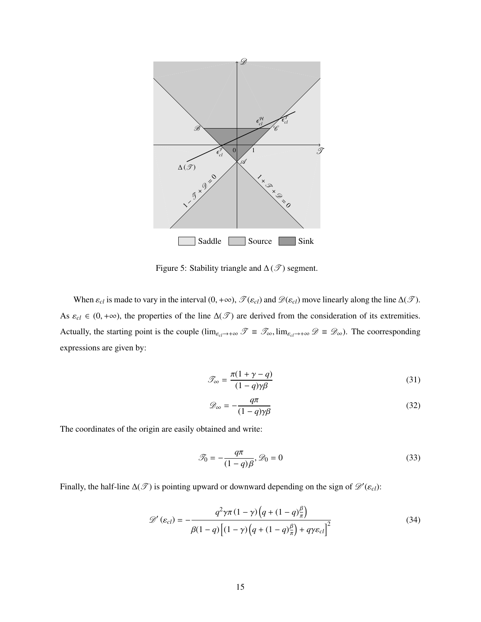

Figure 5: Stability triangle and  $\Delta(\mathcal{I})$  segment.

When  $\varepsilon_{cl}$  is made to vary in the interval  $(0, +\infty)$ ,  $\mathcal{T}(\varepsilon_{cl})$  and  $\mathcal{D}(\varepsilon_{cl})$  move linearly along the line  $\Delta(\mathcal{T})$ . As  $\varepsilon_{cl} \in (0, +\infty)$ , the properties of the line  $\Delta(\mathcal{F})$  are derived from the consideration of its extremities. Actually, the starting point is the couple ( $\lim_{\varepsilon_d\to+\infty}$   $\mathscr{T} \equiv \mathscr{T}_{\infty}$ ,  $\lim_{\varepsilon_d\to+\infty}$   $\mathscr{D} \equiv \mathscr{D}_{\infty}$ ). The coorresponding expressions are given by:

$$
\mathcal{T}_{\infty} = \frac{\pi (1 + \gamma - q)}{(1 - q)\gamma \beta} \tag{31}
$$

$$
\mathcal{D}_{\infty} = -\frac{q\pi}{(1-q)\gamma\beta} \tag{32}
$$

The coordinates of the origin are easily obtained and write:

$$
\mathcal{F}_0 = -\frac{q\pi}{(1-q)\beta}, \mathcal{D}_0 = 0
$$
\n(33)

Finally, the half-line  $\Delta(\mathcal{F})$  is pointing upward or downward depending on the sign of  $\mathcal{D}'(\varepsilon_{cl})$ :

$$
\mathcal{D}'(\varepsilon_{cl}) = -\frac{q^2 \gamma \pi (1 - \gamma) \left( q + (1 - q) \frac{\beta}{\pi} \right)}{\beta (1 - q) \left[ (1 - \gamma) \left( q + (1 - q) \frac{\beta}{\pi} \right) + q \gamma \varepsilon_{cl} \right]^2}
$$
(34)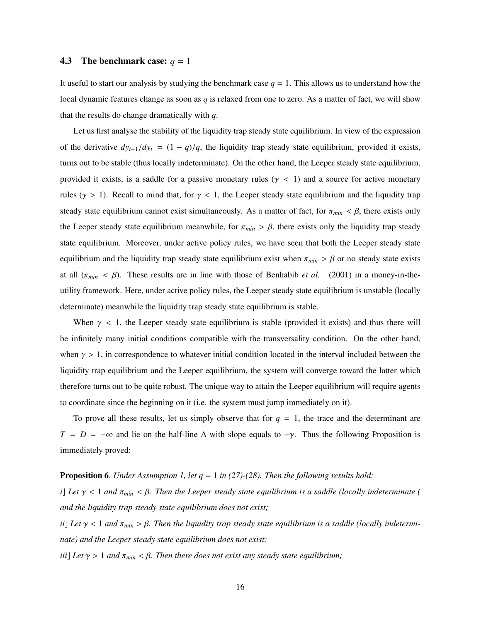### 4.3 The benchmark case:  $q = 1$

It useful to start our analysis by studying the benchmark case  $q = 1$ . This allows us to understand how the local dynamic features change as soon as *q* is relaxed from one to zero. As a matter of fact, we will show that the results do change dramatically with *q*.

Let us first analyse the stability of the liquidity trap steady state equilibrium. In view of the expression of the derivative  $dy_{t+1}/dy_t = (1 - q)/q$ , the liquidity trap steady state equilibrium, provided it exists, turns out to be stable (thus locally indeterminate). On the other hand, the Leeper steady state equilibrium, provided it exists, is a saddle for a passive monetary rules ( $\gamma$  < 1) and a source for active monetary rules ( $\gamma > 1$ ). Recall to mind that, for  $\gamma < 1$ , the Leeper steady state equilibrium and the liquidity trap steady state equilibrium cannot exist simultaneously. As a matter of fact, for  $\pi_{min} < \beta$ , there exists only the Leeper steady state equilibrium meanwhile, for  $\pi_{min} > \beta$ , there exists only the liquidity trap steady state equilibrium. Moreover, under active policy rules, we have seen that both the Leeper steady state equilibrium and the liquidity trap steady state equilibrium exist when  $\pi_{min} > \beta$  or no steady state exists at all  $(\pi_{min} < \beta)$ . These results are in line with those of Benhabib *et al.* (2001) in a money-in-theutility framework. Here, under active policy rules, the Leeper steady state equilibrium is unstable (locally determinate) meanwhile the liquidity trap steady state equilibrium is stable.

When  $\gamma$  < 1, the Leeper steady state equilibrium is stable (provided it exists) and thus there will be infinitely many initial conditions compatible with the transversality condition. On the other hand, when  $\gamma > 1$ , in correspondence to whatever initial condition located in the interval included between the liquidity trap equilibrium and the Leeper equilibrium, the system will converge toward the latter which therefore turns out to be quite robust. The unique way to attain the Leeper equilibrium will require agents to coordinate since the beginning on it (i.e. the system must jump immediately on it).

To prove all these results, let us simply observe that for  $q = 1$ , the trace and the determinant are  $T = D = -\infty$  and lie on the half-line  $\Delta$  with slope equals to  $-\gamma$ . Thus the following Proposition is immediately proved:

### Proposition 6*. Under Assumption 1, let q* = 1 *in (27)-(28). Then the following results hold:*

*i*[ Let  $\gamma$  < 1 *and*  $\pi_{min}$  <  $\beta$ . Then the Leeper steady state equilibrium is a saddle (locally indeterminate ( *and the liquidity trap steady state equilibrium does not exist;*

*ii*] Let  $\gamma$  < 1 and  $\pi_{min}$  >  $\beta$ . Then the liquidity trap steady state equilibrium is a saddle (locally indetermi*nate) and the Leeper steady state equilibrium does not exist;*

*iii* Let  $\gamma > 1$  *and*  $\pi_{min} < \beta$ . Then there does not exist any steady state equilibrium;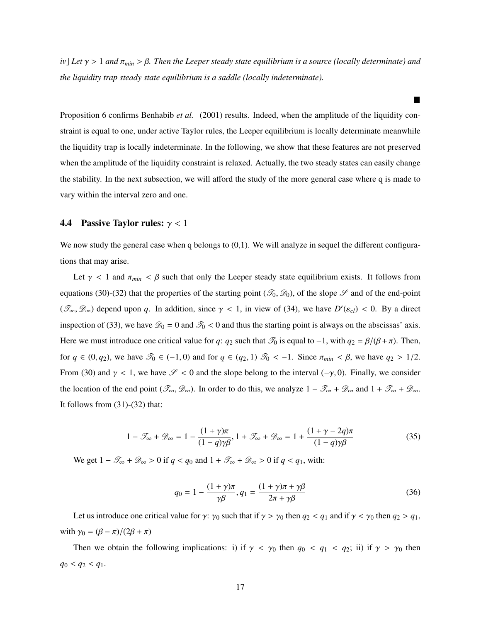*iv*] Let  $\gamma > 1$  and  $\pi_{min} > \beta$ . Then the Leeper steady state equilibrium is a source (locally determinate) and *the liquidity trap steady state equilibrium is a saddle (locally indeterminate).*

Proposition 6 confirms Benhabib *et al.* (2001) results. Indeed, when the amplitude of the liquidity constraint is equal to one, under active Taylor rules, the Leeper equilibrium is locally determinate meanwhile the liquidity trap is locally indeterminate. In the following, we show that these features are not preserved when the amplitude of the liquidity constraint is relaxed. Actually, the two steady states can easily change the stability. In the next subsection, we will afford the study of the more general case where q is made to vary within the interval zero and one.

#### **4.4 Passive Taylor rules:**  $\gamma$  < 1

We now study the general case when q belongs to  $(0,1)$ . We will analyze in sequel the different configurations that may arise.

Let  $\gamma$  < 1 and  $\pi_{min}$  <  $\beta$  such that only the Leeper steady state equilibrium exists. It follows from equations (30)-(32) that the properties of the starting point ( $\mathcal{I}_0$ ,  $\mathcal{D}_0$ ), of the slope  $\mathcal S$  and of the end-point  $(\mathcal{T}_{\infty}, \mathcal{D}_{\infty})$  depend upon *q*. In addition, since  $\gamma < 1$ , in view of (34), we have  $D'(\varepsilon_{cl}) < 0$ . By a direct inspection of (33), we have  $\mathcal{D}_0 = 0$  and  $\mathcal{T}_0 < 0$  and thus the starting point is always on the abscissas' axis. Here we must introduce one critical value for *q*: *q*<sub>2</sub> such that  $\mathcal{T}_0$  is equal to −1, with  $q_2 = \beta/(\beta + \pi)$ . Then, for  $q \in (0, q_2)$ , we have  $\mathcal{T}_0 \in (-1, 0)$  and for  $q \in (q_2, 1)$   $\mathcal{T}_0 < -1$ . Since  $\pi_{min} < \beta$ , we have  $q_2 > 1/2$ . From (30) and  $\gamma$  < 1, we have  $\mathcal{S}$  < 0 and the slope belong to the interval (- $\gamma$ , 0). Finally, we consider the location of the end point ( $\mathcal{T}_{\infty}, \mathcal{D}_{\infty}$ ). In order to do this, we analyze  $1 - \mathcal{T}_{\infty} + \mathcal{D}_{\infty}$  and  $1 + \mathcal{T}_{\infty} + \mathcal{D}_{\infty}$ . It follows from (31)-(32) that:

$$
1 - \mathcal{I}_{\infty} + \mathcal{D}_{\infty} = 1 - \frac{(1 + \gamma)\pi}{(1 - q)\gamma\beta}, 1 + \mathcal{I}_{\infty} + \mathcal{D}_{\infty} = 1 + \frac{(1 + \gamma - 2q)\pi}{(1 - q)\gamma\beta}
$$
(35)

We get  $1 - \mathcal{T}_{\infty} + \mathcal{D}_{\infty} > 0$  if  $q < q_0$  and  $1 + \mathcal{T}_{\infty} + \mathcal{D}_{\infty} > 0$  if  $q < q_1$ , with:

$$
q_0 = 1 - \frac{(1+\gamma)\pi}{\gamma \beta}, q_1 = \frac{(1+\gamma)\pi + \gamma \beta}{2\pi + \gamma \beta}
$$
 (36)

Let us introduce one critical value for  $\gamma$ :  $\gamma_0$  such that if  $\gamma > \gamma_0$  then  $q_2 < q_1$  and if  $\gamma < \gamma_0$  then  $q_2 > q_1$ , with  $\gamma_0 = (\beta - \pi)/(2\beta + \pi)$ 

Then we obtain the following implications: i) if  $\gamma < \gamma_0$  then  $q_0 < q_1 < q_2$ ; ii) if  $\gamma > \gamma_0$  then  $q_0 < q_2 < q_1$ .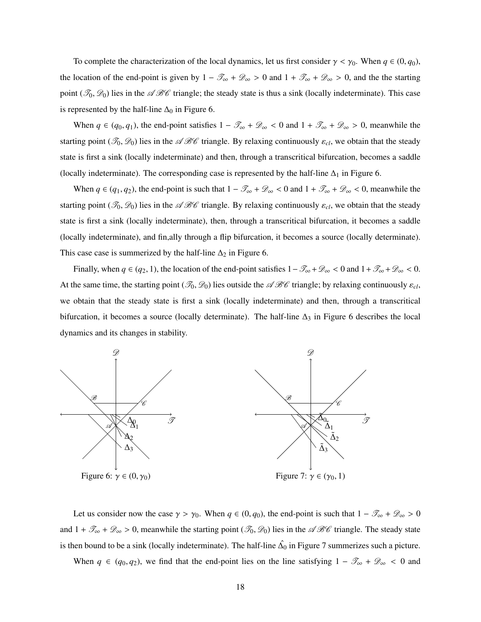To complete the characterization of the local dynamics, let us first consider  $\gamma < \gamma_0$ . When  $q \in (0, q_0)$ , the location of the end-point is given by  $1 - \mathcal{T}_{\infty} + \mathcal{D}_{\infty} > 0$  and  $1 + \mathcal{T}_{\infty} + \mathcal{D}_{\infty} > 0$ , and the the starting point ( $\mathcal{F}_0$ ,  $\mathcal{D}_0$ ) lies in the  $\mathscr{A}\mathscr{B}\mathscr{C}$  triangle; the steady state is thus a sink (locally indeterminate). This case is represented by the half-line  $\Delta_0$  in Figure 6.

When  $q \in (q_0, q_1)$ , the end-point satisfies  $1 - \mathcal{T}_{\infty} + \mathcal{D}_{\infty} < 0$  and  $1 + \mathcal{T}_{\infty} + \mathcal{D}_{\infty} > 0$ , meanwhile the starting point ( $\mathcal{T}_0$ ,  $\mathcal{D}_0$ ) lies in the  $\mathcal{A}\mathcal{B}\mathcal{C}$  triangle. By relaxing continuously  $\varepsilon_{cl}$ , we obtain that the steady state is first a sink (locally indeterminate) and then, through a transcritical bifurcation, becomes a saddle (locally indeterminate). The corresponding case is represented by the half-line  $\Delta_1$  in Figure 6.

When  $q \in (q_1, q_2)$ , the end-point is such that  $1 - \mathcal{T}_{\infty} + \mathcal{D}_{\infty} < 0$  and  $1 + \mathcal{T}_{\infty} + \mathcal{D}_{\infty} < 0$ , meanwhile the starting point ( $\mathcal{I}_0$ ,  $\mathcal{D}_0$ ) lies in the  $\mathcal{A}\mathcal{B}\mathcal{C}$  triangle. By relaxing continuously  $\varepsilon_{cl}$ , we obtain that the steady state is first a sink (locally indeterminate), then, through a transcritical bifurcation, it becomes a saddle (locally indeterminate), and fin,ally through a flip bifurcation, it becomes a source (locally determinate). This case case is summerized by the half-line  $\Delta_2$  in Figure 6.

Finally, when  $q \in (q_2, 1)$ , the location of the end-point satisfies  $1 - \mathcal{T}_{\infty} + \mathcal{D}_{\infty} < 0$  and  $1 + \mathcal{T}_{\infty} + \mathcal{D}_{\infty} < 0$ . At the same time, the starting point  $(\mathcal{T}_0, \mathcal{D}_0)$  lies outside the  $\mathcal{A}\mathcal{B}\mathcal{C}$  triangle; by relaxing continuously  $\varepsilon_{cl}$ , we obtain that the steady state is first a sink (locally indeterminate) and then, through a transcritical bifurcation, it becomes a source (locally determinate). The half-line  $\Delta_3$  in Figure 6 describes the local dynamics and its changes in stability.



Let us consider now the case  $\gamma > \gamma_0$ . When  $q \in (0, q_0)$ , the end-point is such that  $1 - \mathcal{T}_{\infty} + \mathcal{D}_{\infty} > 0$ and  $1 + \mathcal{T}_{\infty} + \mathcal{D}_{\infty} > 0$ , meanwhile the starting point  $(\mathcal{T}_0, \mathcal{D}_0)$  lies in the  $\mathcal{A}\mathcal{B}\mathcal{C}$  triangle. The steady state is then bound to be a sink (locally indeterminate). The half-line  $\hat{\Delta_0}$  in Figure 7 summerizes such a picture.

When  $q \in (q_0, q_2)$ , we find that the end-point lies on the line satisfying  $1 - \mathcal{T}_{\infty} + \mathcal{D}_{\infty} < 0$  and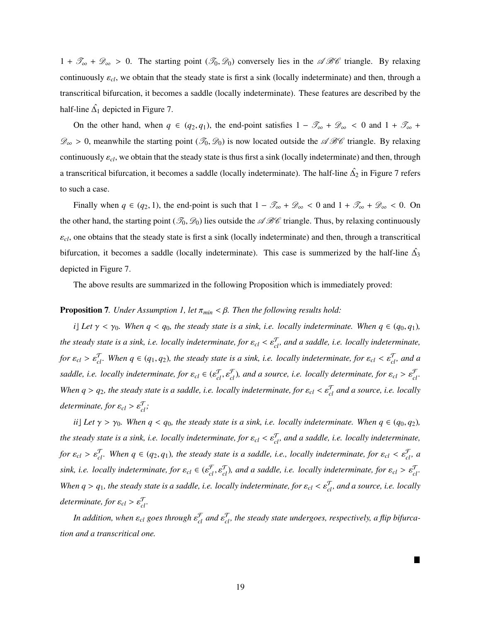$1 + \mathcal{T}_{\infty} + \mathcal{D}_{\infty} > 0$ . The starting point  $(\mathcal{T}_{0}, \mathcal{D}_{0})$  conversely lies in the  $\mathcal{A}\mathcal{B}\mathcal{C}$  triangle. By relaxing continuously ε*cl*, we obtain that the steady state is first a sink (locally indeterminate) and then, through a transcritical bifurcation, it becomes a saddle (locally indeterminate). These features are described by the half-line  $\hat{\Delta_1}$  depicted in Figure 7.

On the other hand, when  $q \in (q_2, q_1)$ , the end-point satisfies  $1 - \mathcal{T}_{\infty} + \mathcal{D}_{\infty} < 0$  and  $1 + \mathcal{T}_{\infty}$  +  $\mathscr{D}_{\infty} > 0$ , meanwhile the starting point  $(\mathscr{T}_0, \mathscr{D}_0)$  is now located outside the  $\mathscr{A}\mathscr{B}\mathscr{C}$  triangle. By relaxing continuously  $\varepsilon_{cl}$ , we obtain that the steady state is thus first a sink (locally indeterminate) and then, through a transcritical bifurcation, it becomes a saddle (locally indeterminate). The half-line  $\hat{\Delta_2}$  in Figure 7 refers to such a case.

Finally when  $q \in (q_2, 1)$ , the end-point is such that  $1 - \mathcal{T}_{\infty} + \mathcal{D}_{\infty} < 0$  and  $1 + \mathcal{T}_{\infty} + \mathcal{D}_{\infty} < 0$ . On the other hand, the starting point ( $\mathcal{T}_0$ ,  $\mathcal{D}_0$ ) lies outside the  $\mathcal{A}\mathcal{B}\mathcal{C}$  triangle. Thus, by relaxing continuously  $\varepsilon_{cl}$ , one obtains that the steady state is first a sink (locally indeterminate) and then, through a transcritical bifurcation, it becomes a saddle (locally indeterminate). This case is summerized by the half-line  $\hat{\Delta_3}$ depicted in Figure 7.

The above results are summarized in the following Proposition which is immediately proved:

#### Proposition 7*. Under Assumption 1, let* <sup>π</sup>*min* < β*. Then the following results hold:*

*i*] Let  $\gamma < \gamma_0$ . When  $q < q_0$ , the steady state is a sink, i.e. locally indeterminate. When  $q \in (q_0, q_1)$ , *the steady state is a sink, i.e. locally indeterminate, for*  $\varepsilon_{cl} < \varepsilon_{cl}^T$ , and a saddle, i.e. locally indeterminate, *for*  $\varepsilon_{cl} > \varepsilon_{cl}^T$ . When  $q \in (q_1, q_2)$ , the steady state is a sink, i.e. locally indeterminate, for  $\varepsilon_{cl} < \varepsilon_{cl}^T$ , and a *saddle, i.e. locally indeterminate, for*  $\varepsilon_{cl} \in (\varepsilon_{cl}^{\mathcal{T}}, \varepsilon_{cl}^{\mathcal{T}})$ *, and a source, i.e. locally determinate, for*  $\varepsilon_{cl} > \varepsilon_{cl}^{\mathcal{T}}$ *. When*  $q > q_2$ *, the steady state is a saddle, i.e. locally indeterminate, for*  $\varepsilon_{cl} < \varepsilon_{cl}^T$  *and a source, i.e. locally*  $d$ *eterminate, for*  $\varepsilon_{cl} > \varepsilon_{cl}^{\mathcal{T}}$ ;

*ii*] Let  $\gamma > \gamma_0$ *. When*  $q < q_0$ *, the steady state is a sink, i.e. locally indeterminate. When*  $q \in (q_0, q_2)$ *, the steady state is a sink, i.e. locally indeterminate, for*  $\varepsilon_{cl} < \varepsilon_{cl}^T$ , and a saddle, i.e. locally indeterminate, *for*  $\varepsilon_{cl} > \varepsilon_{cl}^T$ . When  $q \in (q_2, q_1)$ , the steady state is a saddle, i.e., locally indeterminate, for  $\varepsilon_{cl} < \varepsilon_{cl}^T$ , a sink, i.e. locally indeterminate, for  $\varepsilon_{cl} \in (\varepsilon_{cl}^{\mathcal{F}}, \varepsilon_{cl}^{\mathcal{T}})$ , and a saddle, i.e. locally indeterminate, for  $\varepsilon_{cl} > \varepsilon_{cl}^{\mathcal{T}}$ . *When*  $q > q_1$ *, the steady state is a saddle, i.e. locally indeterminate, for*  $\varepsilon_{cl} < \varepsilon_{cl}^T$ , and a source, i.e. locally  $determine, for  $\varepsilon_{cl} > \varepsilon_{cl}^{\mathcal{T}}$ .$ 

In addition, when  $\varepsilon_{cl}$  goes through  $\varepsilon_{cl}^{\mathcal{T}}$  and  $\varepsilon_{cl}^{\mathcal{T}}$ , the steady state undergoes, respectively, a flip bifurca*tion and a transcritical one.*

ш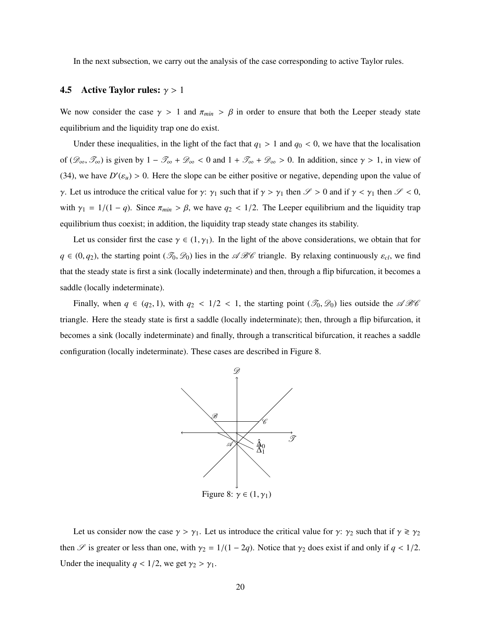In the next subsection, we carry out the analysis of the case corresponding to active Taylor rules.

### 4.5 Active Taylor rules:  $\gamma > 1$

We now consider the case  $\gamma > 1$  and  $\pi_{min} > \beta$  in order to ensure that both the Leeper steady state equilibrium and the liquidity trap one do exist.

Under these inequalities, in the light of the fact that  $q_1 > 1$  and  $q_0 < 0$ , we have that the localisation of  $(\mathscr{D}_{\infty}, \mathscr{T}_{\infty})$  is given by  $1 - \mathscr{T}_{\infty} + \mathscr{D}_{\infty} < 0$  and  $1 + \mathscr{T}_{\infty} + \mathscr{D}_{\infty} > 0$ . In addition, since  $\gamma > 1$ , in view of (34), we have  $D'(\varepsilon_u) > 0$ . Here the slope can be either positive or negative, depending upon the value of γ. Let us introduce the critical value for γ:  $\gamma_1$  such that if  $\gamma > \gamma_1$  then  $\mathcal{S} > 0$  and if  $\gamma < \gamma_1$  then  $\mathcal{S} < 0$ , with  $\gamma_1 = 1/(1 - q)$ . Since  $\pi_{min} > \beta$ , we have  $q_2 < 1/2$ . The Leeper equilibrium and the liquidity trap equilibrium thus coexist; in addition, the liquidity trap steady state changes its stability.

Let us consider first the case  $\gamma \in (1, \gamma_1)$ . In the light of the above considerations, we obtain that for  $q \in (0, q_2)$ , the starting point  $(\mathcal{I}_0, \mathcal{D}_0)$  lies in the  $\mathcal{A}\mathcal{B}\mathcal{C}$  triangle. By relaxing continuously  $\varepsilon_{cl}$ , we find that the steady state is first a sink (locally indeterminate) and then, through a flip bifurcation, it becomes a saddle (locally indeterminate).

Finally, when  $q \in (q_2, 1)$ , with  $q_2 < 1/2 < 1$ , the starting point  $(\mathcal{I}_0, \mathcal{D}_0)$  lies outside the  $\mathcal{A}\mathcal{B}\mathcal{C}$ triangle. Here the steady state is first a saddle (locally indeterminate); then, through a flip bifurcation, it becomes a sink (locally indeterminate) and finally, through a transcritical bifurcation, it reaches a saddle configuration (locally indeterminate). These cases are described in Figure 8.



Let us consider now the case  $\gamma > \gamma_1$ . Let us introduce the critical value for  $\gamma$ :  $\gamma_2$  such that if  $\gamma \ge \gamma_2$ then  $\mathscr S$  is greater or less than one, with  $\gamma_2 = 1/(1 - 2q)$ . Notice that  $\gamma_2$  does exist if and only if  $q < 1/2$ . Under the inequality  $q < 1/2$ , we get  $\gamma_2 > \gamma_1$ .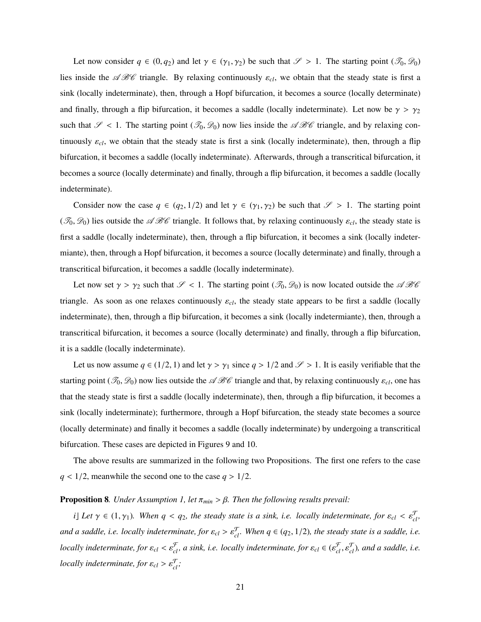Let now consider  $q \in (0, q_2)$  and let  $\gamma \in (\gamma_1, \gamma_2)$  be such that  $\mathscr{S} > 1$ . The starting point  $(\mathscr{T}_0, \mathscr{D}_0)$ lies inside the  $\mathscr{A}\mathscr{B}\mathscr{C}$  triangle. By relaxing continuously  $\varepsilon_{cl}$ , we obtain that the steady state is first a sink (locally indeterminate), then, through a Hopf bifurcation, it becomes a source (locally determinate) and finally, through a flip bifurcation, it becomes a saddle (locally indeterminate). Let now be  $\gamma > \gamma_2$ such that  $\mathscr{S}$  < 1. The starting point  $(\mathscr{T}_0, \mathscr{D}_0)$  now lies inside the  $\mathscr{A}\mathscr{B}\mathscr{C}$  triangle, and by relaxing continuously  $\varepsilon_{cl}$ , we obtain that the steady state is first a sink (locally indeterminate), then, through a flip bifurcation, it becomes a saddle (locally indeterminate). Afterwards, through a transcritical bifurcation, it becomes a source (locally determinate) and finally, through a flip bifurcation, it becomes a saddle (locally indeterminate).

Consider now the case  $q \in (q_2, 1/2)$  and let  $\gamma \in (\gamma_1, \gamma_2)$  be such that  $\mathscr{S} > 1$ . The starting point ( $\mathcal{T}_0$ ,  $\mathcal{D}_0$ ) lies outside the  $\mathcal{A}\mathcal{B}\mathcal{C}$  triangle. It follows that, by relaxing continuously  $\varepsilon_{cl}$ , the steady state is first a saddle (locally indeterminate), then, through a flip bifurcation, it becomes a sink (locally indetermiante), then, through a Hopf bifurcation, it becomes a source (locally determinate) and finally, through a transcritical bifurcation, it becomes a saddle (locally indeterminate).

Let now set  $\gamma > \gamma_2$  such that  $\mathscr{S} < 1$ . The starting point  $(\mathscr{T}_0, \mathscr{D}_0)$  is now located outside the  $\mathscr{A}\mathscr{B}\mathscr{C}$ triangle. As soon as one relaxes continuously  $\varepsilon_{cl}$ , the steady state appears to be first a saddle (locally indeterminate), then, through a flip bifurcation, it becomes a sink (locally indetermiante), then, through a transcritical bifurcation, it becomes a source (locally determinate) and finally, through a flip bifurcation, it is a saddle (locally indeterminate).

Let us now assume  $q \in (1/2, 1)$  and let  $\gamma > \gamma_1$  since  $q > 1/2$  and  $\mathcal{S} > 1$ . It is easily verifiable that the starting point ( $\mathcal{F}_0$ ,  $\mathcal{D}_0$ ) now lies outside the  $\mathcal{A}\mathcal{B}\mathcal{C}$  triangle and that, by relaxing continuously  $\varepsilon_{cl}$ , one has that the steady state is first a saddle (locally indeterminate), then, through a flip bifurcation, it becomes a sink (locally indeterminate); furthermore, through a Hopf bifurcation, the steady state becomes a source (locally determinate) and finally it becomes a saddle (locally indeterminate) by undergoing a transcritical bifurcation. These cases are depicted in Figures 9 and 10.

The above results are summarized in the following two Propositions. The first one refers to the case  $q$  < 1/2, meanwhile the second one to the case  $q > 1/2$ .

#### **Proposition 8***. Under Assumption 1, let*  $\pi_{min} > \beta$ *. Then the following results prevail:*

*i*] Let  $\gamma \in (1, \gamma_1)$ . When  $q < q_2$ , the steady state is a sink, i.e. locally indeterminate, for  $\varepsilon_{cl} < \varepsilon_{cl}^T$ , *and a saddle, i.e. locally indeterminate, for*  $\varepsilon_{cl} > \varepsilon_{cl}^T$ . When  $q \in (q_2, 1/2)$ , the steady state is a saddle, i.e. *locally indeterminate, for*  $\varepsilon_{cl} < \varepsilon_{cl}^{\mathcal{F}}$ , a sink, i.e. locally indeterminate, for  $\varepsilon_{cl} \in (\varepsilon_{cl}^{\mathcal{F}}, \varepsilon_{cl}^{\mathcal{F}})$ , and a saddle, i.e. *locally indeterminate, for*  $\varepsilon_{cl} > \varepsilon_{cl}^{\mathcal{T}}$ ;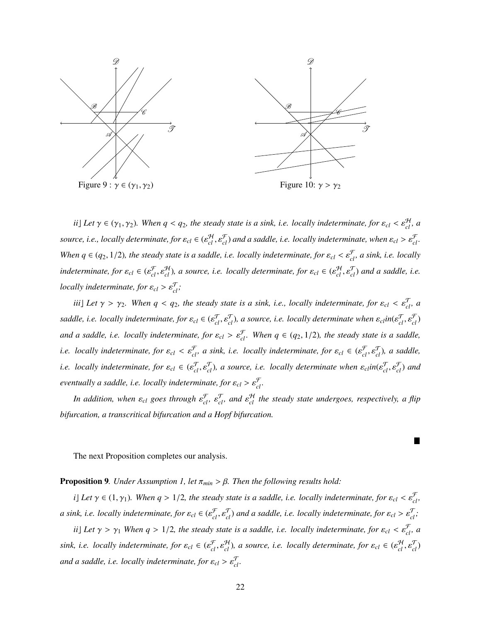

*ii*] Let  $\gamma \in (\gamma_1, \gamma_2)$ . When  $q < q_2$ , the steady state is a sink, i.e. locally indeterminate, for  $\varepsilon_{cl} < \varepsilon_{cl}^{\mathcal{H}}$ , a *source, i.e., locally determinate, for*  $\varepsilon_{cl} \in (\varepsilon_{cl}^H, \varepsilon_{cl}^{\mathcal{F}})$  and a saddle, i.e. locally indeterminate, when  $\varepsilon_{cl} > \varepsilon_{cl}^{\mathcal{F}}$ . *When*  $q \in (q_2, 1/2)$ , the steady state is a saddle, i.e. locally indeterminate, for  $\varepsilon_{cl} < \varepsilon_{cl}^{\mathcal{F}}$ , a sink, i.e. locally  $\text{indeterminate}, \text{ for } \varepsilon_{cl} \in (\varepsilon_{cl}^{\mathcal{F}}, \varepsilon_{cl}^{\mathcal{H}})$ , a source, i.e. locally determinate, for  $\varepsilon_{cl} \in (\varepsilon_{cl}^{\mathcal{H}}, \varepsilon_{cl}^{\mathcal{T}})$  and a saddle, i.e. *locally indeterminate, for*  $\varepsilon_{cl} > \varepsilon_{cl}^{\mathcal{T}}$ ;

*iii*] Let  $\gamma > \gamma_2$ . When  $q < q_2$ , the steady state is a sink, i.e., locally indeterminate, for  $\varepsilon_{cl} < \varepsilon_{cl}^T$ , a *saddle, i.e. locally indeterminate, for*  $\varepsilon_{cl} \in (\varepsilon_{cl}^T, \varepsilon_{cl}^T)$ , a source, i.e. locally determinate when  $\varepsilon_{cl}$ in( $\varepsilon_{cl}^T, \varepsilon_{cl}^T$ ) *and a saddle, i.e. locally indeterminate, for*  $\varepsilon_{cl} > \varepsilon_{cl}^{\mathcal{F}}$ . When  $q \in (q_2, 1/2)$ , the steady state is a saddle, *i.e.* locally indeterminate, for  $\varepsilon_{cl} < \varepsilon_{cl}^{\mathcal{F}}$ , a sink, i.e. locally indeterminate, for  $\varepsilon_{cl} \in (\varepsilon_{cl}^{\mathcal{F}}, \varepsilon_{cl}^{\mathcal{T}})$ , a saddle, *i.e.* locally indeterminate, for  $\varepsilon_{cl} \in (\varepsilon_{cl}^T, \varepsilon_{cl}^T)$ , a source, i.e. locally determinate when  $\varepsilon_{cl}$ in( $\varepsilon_{cl}^T, \varepsilon_{cl}^T$ ) and *eventually a saddle, i.e. locally indeterminate, for*  $\varepsilon_{cl} > \varepsilon_{cl}^{\mathcal{F}}$ .

*In addition, when*  $\varepsilon_{cl}$  goes through  $\varepsilon_{cl}^{\mathcal{F}}$ ,  $\varepsilon_{cl}^{\mathcal{T}}$ , and  $\varepsilon_{cl}^{\mathcal{H}}$  the steady state undergoes, respectively, a flip *bifurcation, a transcritical bifurcation and a Hopf bifurcation.*

ш

The next Proposition completes our analysis.

Proposition 9*. Under Assumption 1, let* <sup>π</sup>*min* > β*. Then the following results hold:*

*i*] Let  $\gamma \in (1, \gamma_1)$ . When  $q > 1/2$ , the steady state is a saddle, i.e. locally indeterminate, for  $\varepsilon_{cl} < \varepsilon_{cl}^{\mathcal{F}}$ , *a* sink, i.e. locally indeterminate, for  $\varepsilon_{cl} \in (\varepsilon_{cl}^{\mathcal{F}}, \varepsilon_{cl}^{\mathcal{T}})$  and a saddle, i.e. locally indeterminate, for  $\varepsilon_{cl} > \varepsilon_{cl}^{\mathcal{T}}$ ;

*ii*] Let  $\gamma > \gamma_1$  When  $q > 1/2$ , the steady state is a saddle, i.e. locally indeterminate, for  $\varepsilon_{cl} < \varepsilon_{cl}^{\mathcal{F}}$ , a  $sink, i.e.$  locally indeterminate, for  $\varepsilon_{cl} \in (\varepsilon_{cl}^{\mathcal{F}}, \varepsilon_{cl}^{\mathcal{H}})$ , a source, i.e. locally determinate, for  $\varepsilon_{cl} \in (\varepsilon_{cl}^{\mathcal{H}}, \varepsilon_{cl}^{\mathcal{T}})$ and a saddle, i.e. locally indeterminate, for  $\varepsilon_{cl} > \varepsilon_{cl}^{\mathcal{T}}$ .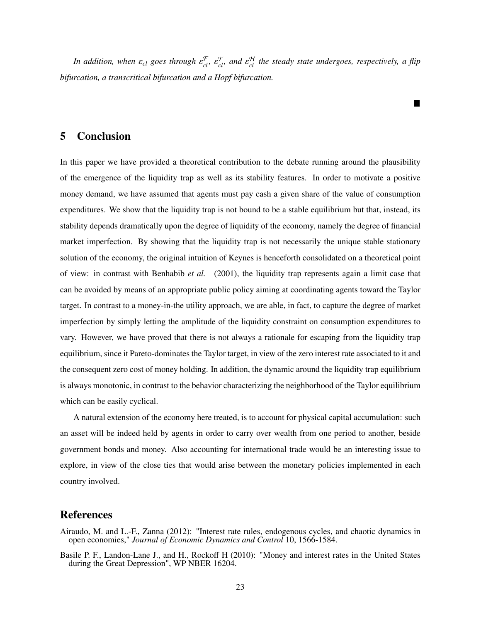*In addition, when*  $\varepsilon_{cl}$  goes through  $\varepsilon_{cl}^{\mathcal{F}}$ ,  $\varepsilon_{cl}^{\mathcal{T}}$ , and  $\varepsilon_{cl}^{\mathcal{H}}$  the steady state undergoes, respectively, a flip *bifurcation, a transcritical bifurcation and a Hopf bifurcation.*

П

### 5 Conclusion

In this paper we have provided a theoretical contribution to the debate running around the plausibility of the emergence of the liquidity trap as well as its stability features. In order to motivate a positive money demand, we have assumed that agents must pay cash a given share of the value of consumption expenditures. We show that the liquidity trap is not bound to be a stable equilibrium but that, instead, its stability depends dramatically upon the degree of liquidity of the economy, namely the degree of financial market imperfection. By showing that the liquidity trap is not necessarily the unique stable stationary solution of the economy, the original intuition of Keynes is henceforth consolidated on a theoretical point of view: in contrast with Benhabib *et al.* (2001), the liquidity trap represents again a limit case that can be avoided by means of an appropriate public policy aiming at coordinating agents toward the Taylor target. In contrast to a money-in-the utility approach, we are able, in fact, to capture the degree of market imperfection by simply letting the amplitude of the liquidity constraint on consumption expenditures to vary. However, we have proved that there is not always a rationale for escaping from the liquidity trap equilibrium, since it Pareto-dominates the Taylor target, in view of the zero interest rate associated to it and the consequent zero cost of money holding. In addition, the dynamic around the liquidity trap equilibrium is always monotonic, in contrast to the behavior characterizing the neighborhood of the Taylor equilibrium which can be easily cyclical.

A natural extension of the economy here treated, is to account for physical capital accumulation: such an asset will be indeed held by agents in order to carry over wealth from one period to another, beside government bonds and money. Also accounting for international trade would be an interesting issue to explore, in view of the close ties that would arise between the monetary policies implemented in each country involved.

### References

- Airaudo, M. and L.-F., Zanna (2012): "Interest rate rules, endogenous cycles, and chaotic dynamics in open economies," *Journal of Economic Dynamics and Control* 10, 1566-1584.
- Basile P. F., Landon-Lane J., and H., Rockoff H (2010): "Money and interest rates in the United States during the Great Depression", WP NBER 16204.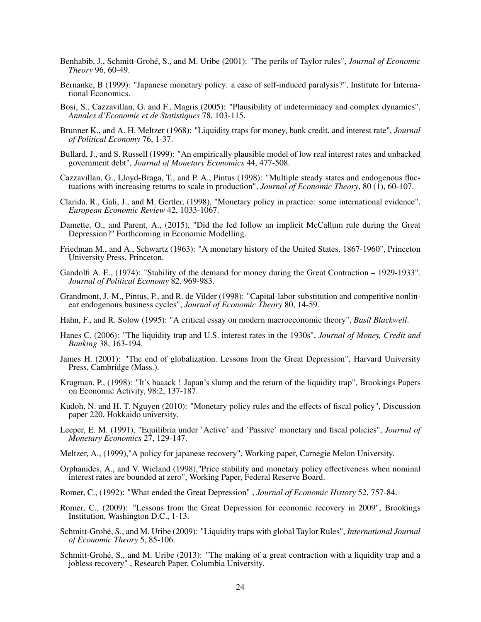- Benhabib, J., Schmitt-Grohé, S., and M. Uribe (2001): "The perils of Taylor rules", *Journal of Economic Theory* 96, 60-49.
- Bernanke, B (1999): "Japanese monetary policy: a case of self-induced paralysis?", Institute for International Economics.
- Bosi, S., Cazzavillan, G. and F., Magris (2005): "Plausibility of indeterminacy and complex dynamics", *Annales d'Economie et de Statistiques* 78, 103-115.
- Brunner K., and A. H. Meltzer (1968): "Liquidity traps for money, bank credit, and interest rate", *Journal of Political Economy* 76, 1-37.
- Bullard, J., and S. Russell (1999): "An empirically plausible model of low real interest rates and unbacked government debt", *Journal of Monetary Economics* 44, 477-508.
- Cazzavillan, G., Lloyd-Braga, T., and P. A., Pintus (1998): "Multiple steady states and endogenous fluctuations with increasing returns to scale in production", *Journal of Economic Theory*, 80 (1), 60-107.
- Clarida, R., Gali, J., and M. Gertler, (1998), "Monetary policy in practice: some international evidence", *European Economic Review* 42, 1033-1067.
- Damette, O., and Parent, A., (2015), "Did the fed follow an implicit McCallum rule during the Great Depression?" Forthcoming in Economic Modelling.
- Friedman M., and A., Schwartz (1963): "A monetary history of the United States, 1867-1960", Princeton University Press, Princeton.
- Gandolfi A. E., (1974): "Stability of the demand for money during the Great Contraction 1929-1933". Journal of Political Economy 82, 969-983.
- Grandmont, J.-M., Pintus, P., and R. de Vilder (1998): "Capital-labor substitution and competitive nonlinear endogenous business cycles", *Journal of Economic Theory* 80, 14-59.
- Hahn, F., and R. Solow (1995): "A critical essay on modern macroeconomic theory", *Basil Blackwell*.
- Hanes C. (2006): "The liquidity trap and U.S. interest rates in the 1930s", *Journal of Money, Credit and Banking* 38, 163-194.
- James H. (2001): "The end of globalization. Lessons from the Great Depression", Harvard University Press, Cambridge (Mass.).
- Krugman, P., (1998): "It's baaack ! Japan's slump and the return of the liquidity trap", Brookings Papers on Economic Activity, 98:2, 137-187.
- Kudoh, N. and H. T. Nguyen (2010): "Monetary policy rules and the effects of fiscal policy", Discussion paper 220, Hokkaido university.
- Leeper, E. M. (1991), "Equilibria under 'Active' and 'Passive' monetary and fiscal policies", *Journal of Monetary Economics* 27, 129-147.
- Meltzer, A., (1999),"A policy for japanese recovery", Working paper, Carnegie Melon University.
- Orphanides, A., and V. Wieland (1998),"Price stability and monetary policy effectiveness when nominal interest rates are bounded at zero", Working Paper, Federal Reserve Board.
- Romer, C., (1992): "What ended the Great Depression" , *Journal of Economic History* 52, 757-84.
- Romer, C., (2009): "Lessons from the Great Depression for economic recovery in 2009", Brookings Institution, Washington D.C., 1-13.
- Schmitt-Grohé, S., and M. Uribe (2009): "Liquidity traps with global Taylor Rules", *International Journal of Economic Theory* 5, 85-106.
- Schmitt-Grohé, S., and M. Uribe (2013): "The making of a great contraction with a liquidity trap and a jobless recovery" , Research Paper, Columbia University.